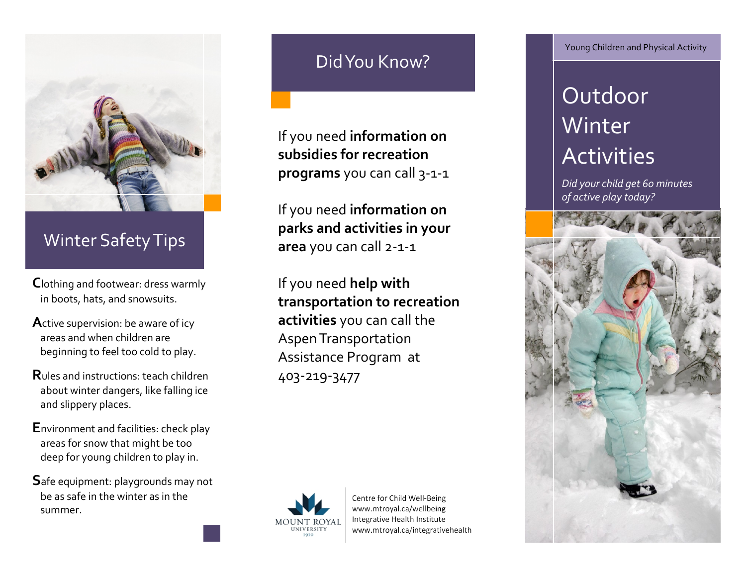

## Winter Safety Tips

- **C**lothing and footwear: dress warmly in boots, hats, and snowsuits.
- **A**ctive supervision: be aware of icy areas and when children are beginning to feel too cold to play.
- **R**ules and instructions: teach children about winter dangers, like falling ice and slippery places.
- **E**nvironment and facilities: check play areas for snow that might be too deep for young children to play in.
- **S**afe equipment: playgrounds may not be as safe in the winter as in the summer.

## Did You Know?

If you need **information on subsidies for recreation programs** you can call 3-1-1

If you need **information on parks and activities in your area** you can call 2-1-1

If you need **help with transportation to recreation activities** you can call the Aspen Transportation Assistance Program at 403-219-3477



Centre for Child Well-Being www.mtroyal.ca/wellbeing Integrative Health Institute www.mtroyal.ca/integrativehealth Young Children and Physical Activity

# Outdoor Winter **Activities**

*Did your child get 60 minutes of active play today?*